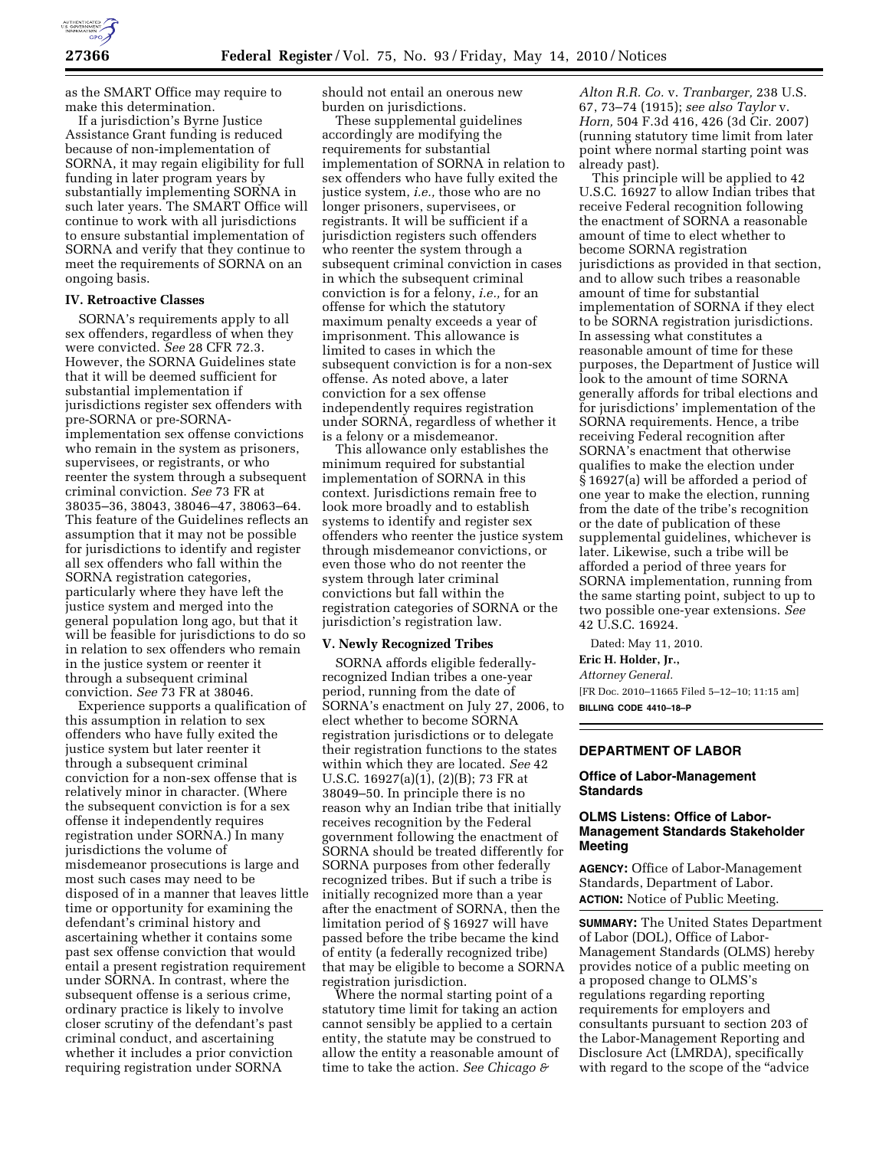

as the SMART Office may require to make this determination.

If a jurisdiction's Byrne Justice Assistance Grant funding is reduced because of non-implementation of SORNA, it may regain eligibility for full funding in later program years by substantially implementing SORNA in such later years. The SMART Office will continue to work with all jurisdictions to ensure substantial implementation of SORNA and verify that they continue to meet the requirements of SORNA on an ongoing basis.

#### **IV. Retroactive Classes**

SORNA's requirements apply to all sex offenders, regardless of when they were convicted. *See* 28 CFR 72.3. However, the SORNA Guidelines state that it will be deemed sufficient for substantial implementation if jurisdictions register sex offenders with pre-SORNA or pre-SORNAimplementation sex offense convictions who remain in the system as prisoners, supervisees, or registrants, or who reenter the system through a subsequent criminal conviction. *See* 73 FR at 38035–36, 38043, 38046–47, 38063–64. This feature of the Guidelines reflects an assumption that it may not be possible for jurisdictions to identify and register all sex offenders who fall within the SORNA registration categories, particularly where they have left the justice system and merged into the general population long ago, but that it will be feasible for jurisdictions to do so in relation to sex offenders who remain in the justice system or reenter it through a subsequent criminal conviction. *See* 73 FR at 38046.

Experience supports a qualification of this assumption in relation to sex offenders who have fully exited the justice system but later reenter it through a subsequent criminal conviction for a non-sex offense that is relatively minor in character. (Where the subsequent conviction is for a sex offense it independently requires registration under SORNA.) In many jurisdictions the volume of misdemeanor prosecutions is large and most such cases may need to be disposed of in a manner that leaves little time or opportunity for examining the defendant's criminal history and ascertaining whether it contains some past sex offense conviction that would entail a present registration requirement under SORNA. In contrast, where the subsequent offense is a serious crime, ordinary practice is likely to involve closer scrutiny of the defendant's past criminal conduct, and ascertaining whether it includes a prior conviction requiring registration under SORNA

should not entail an onerous new burden on jurisdictions.

These supplemental guidelines accordingly are modifying the requirements for substantial implementation of SORNA in relation to sex offenders who have fully exited the justice system, *i.e.,* those who are no longer prisoners, supervisees, or registrants. It will be sufficient if a jurisdiction registers such offenders who reenter the system through a subsequent criminal conviction in cases in which the subsequent criminal conviction is for a felony, *i.e.,* for an offense for which the statutory maximum penalty exceeds a year of imprisonment. This allowance is limited to cases in which the subsequent conviction is for a non-sex offense. As noted above, a later conviction for a sex offense independently requires registration under SORNA, regardless of whether it is a felony or a misdemeanor.

This allowance only establishes the minimum required for substantial implementation of SORNA in this context. Jurisdictions remain free to look more broadly and to establish systems to identify and register sex offenders who reenter the justice system through misdemeanor convictions, or even those who do not reenter the system through later criminal convictions but fall within the registration categories of SORNA or the jurisdiction's registration law.

## **V. Newly Recognized Tribes**

SORNA affords eligible federallyrecognized Indian tribes a one-year period, running from the date of SORNA's enactment on July 27, 2006, to elect whether to become SORNA registration jurisdictions or to delegate their registration functions to the states within which they are located. *See* 42 U.S.C. 16927(a)(1), (2)(B); 73 FR at 38049–50. In principle there is no reason why an Indian tribe that initially receives recognition by the Federal government following the enactment of SORNA should be treated differently for SORNA purposes from other federally recognized tribes. But if such a tribe is initially recognized more than a year after the enactment of SORNA, then the limitation period of § 16927 will have passed before the tribe became the kind of entity (a federally recognized tribe) that may be eligible to become a SORNA registration jurisdiction.

Where the normal starting point of a statutory time limit for taking an action cannot sensibly be applied to a certain entity, the statute may be construed to allow the entity a reasonable amount of time to take the action. *See Chicago &* 

*Alton R.R. Co.* v. *Tranbarger,* 238 U.S. 67, 73–74 (1915); *see also Taylor* v. *Horn,* 504 F.3d 416, 426 (3d Cir. 2007) (running statutory time limit from later point where normal starting point was already past).

This principle will be applied to 42 U.S.C. 16927 to allow Indian tribes that receive Federal recognition following the enactment of SORNA a reasonable amount of time to elect whether to become SORNA registration jurisdictions as provided in that section, and to allow such tribes a reasonable amount of time for substantial implementation of SORNA if they elect to be SORNA registration jurisdictions. In assessing what constitutes a reasonable amount of time for these purposes, the Department of Justice will look to the amount of time SORNA generally affords for tribal elections and for jurisdictions' implementation of the SORNA requirements. Hence, a tribe receiving Federal recognition after SORNA's enactment that otherwise qualifies to make the election under § 16927(a) will be afforded a period of one year to make the election, running from the date of the tribe's recognition or the date of publication of these supplemental guidelines, whichever is later. Likewise, such a tribe will be afforded a period of three years for SORNA implementation, running from the same starting point, subject to up to two possible one-year extensions. *See*  42 U.S.C. 16924.

Dated: May 11, 2010.

**Eric H. Holder, Jr.,** 

*Attorney General.* 

[FR Doc. 2010–11665 Filed 5–12–10; 11:15 am] **BILLING CODE 4410–18–P** 

## **DEPARTMENT OF LABOR**

#### **Office of Labor-Management Standards**

# **OLMS Listens: Office of Labor-Management Standards Stakeholder Meeting**

**AGENCY:** Office of Labor-Management Standards, Department of Labor. **ACTION:** Notice of Public Meeting.

**SUMMARY:** The United States Department of Labor (DOL), Office of Labor-Management Standards (OLMS) hereby provides notice of a public meeting on a proposed change to OLMS's regulations regarding reporting requirements for employers and consultants pursuant to section 203 of the Labor-Management Reporting and Disclosure Act (LMRDA), specifically with regard to the scope of the "advice"